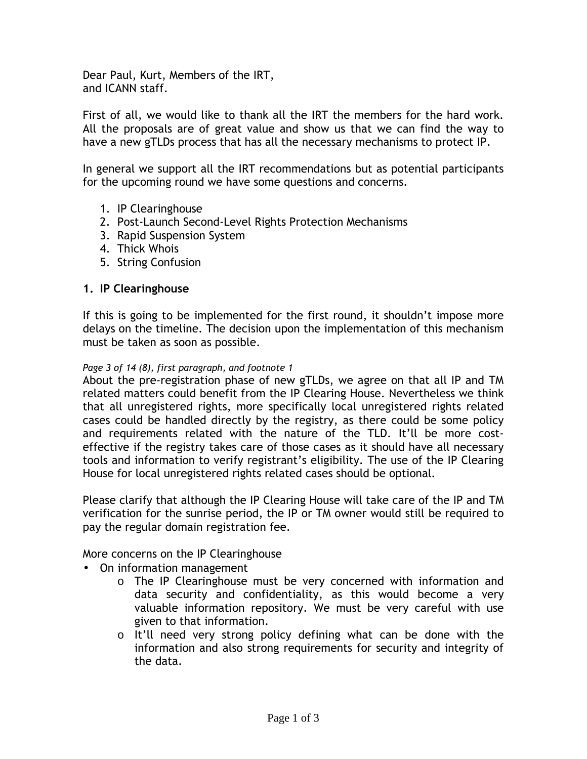Dear Paul, Kurt, Members of the IRT, and ICANN staff.

First of all, we would like to thank all the IRT the members for the hard work. All the proposals are of great value and show us that we can find the way to have a new gTLDs process that has all the necessary mechanisms to protect IP.

In general we support all the IRT recommendations but as potential participants for the upcoming round we have some questions and concerns.

- 1. IP Clearinghouse
- 2. Post-Launch Second-Level Rights Protection Mechanisms
- 3. Rapid Suspension System
- 4. Thick Whois
- 5. String Confusion

# 1. IP Clearinghouse

If this is going to be implemented for the first round, it shouldn't impose more delays on the timeline. The decision upon the implementation of this mechanism must be taken as soon as possible.

#### Page 3 of 14 (8), first paragraph, and footnote 1

About the pre-registration phase of new gTLDs, we agree on that all IP and TM related matters could benefit from the IP Clearing House. Nevertheless we think that all unregistered rights, more specifically local unregistered rights related cases could be handled directly by the registry, as there could be some policy and requirements related with the nature of the TLD. It'll be more costeffective if the registry takes care of those cases as it should have all necessary tools and information to verify registrant's eligibility. The use of the IP Clearing House for local unregistered rights related cases should be optional.

Please clarify that although the IP Clearing House will take care of the IP and TM verification for the sunrise period, the IP or TM owner would still be required to pay the regular domain registration fee.

More concerns on the IP Clearinghouse

- On information management
	- o The IP Clearinghouse must be very concerned with information and data security and confidentiality, as this would become a very valuable information repository. We must be very careful with use given to that information.
	- o It'll need very strong policy defining what can be done with the information and also strong requirements for security and integrity of the data.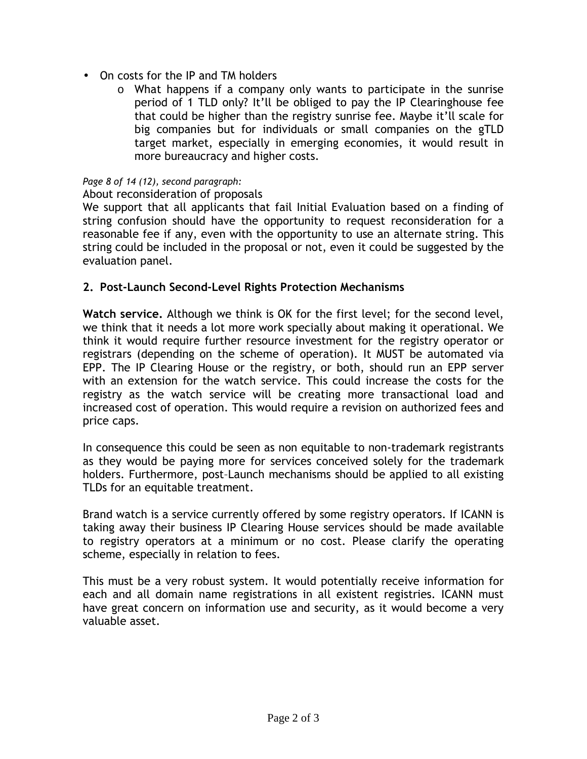- On costs for the IP and TM holders
	- o What happens if a company only wants to participate in the sunrise period of 1 TLD only? It'll be obliged to pay the IP Clearinghouse fee that could be higher than the registry sunrise fee. Maybe it'll scale for big companies but for individuals or small companies on the gTLD target market, especially in emerging economies, it would result in more bureaucracy and higher costs.

#### Page 8 of 14 (12), second paragraph:

## About reconsideration of proposals

We support that all applicants that fail Initial Evaluation based on a finding of string confusion should have the opportunity to request reconsideration for a reasonable fee if any, even with the opportunity to use an alternate string. This string could be included in the proposal or not, even it could be suggested by the evaluation panel.

# 2. Post-Launch Second-Level Rights Protection Mechanisms

Watch service. Although we think is OK for the first level; for the second level, we think that it needs a lot more work specially about making it operational. We think it would require further resource investment for the registry operator or registrars (depending on the scheme of operation). It MUST be automated via EPP. The IP Clearing House or the registry, or both, should run an EPP server with an extension for the watch service. This could increase the costs for the registry as the watch service will be creating more transactional load and increased cost of operation. This would require a revision on authorized fees and price caps.

In consequence this could be seen as non equitable to non-trademark registrants as they would be paying more for services conceived solely for the trademark holders. Furthermore, post–Launch mechanisms should be applied to all existing TLDs for an equitable treatment.

Brand watch is a service currently offered by some registry operators. If ICANN is taking away their business IP Clearing House services should be made available to registry operators at a minimum or no cost. Please clarify the operating scheme, especially in relation to fees.

This must be a very robust system. It would potentially receive information for each and all domain name registrations in all existent registries. ICANN must have great concern on information use and security, as it would become a very valuable asset.